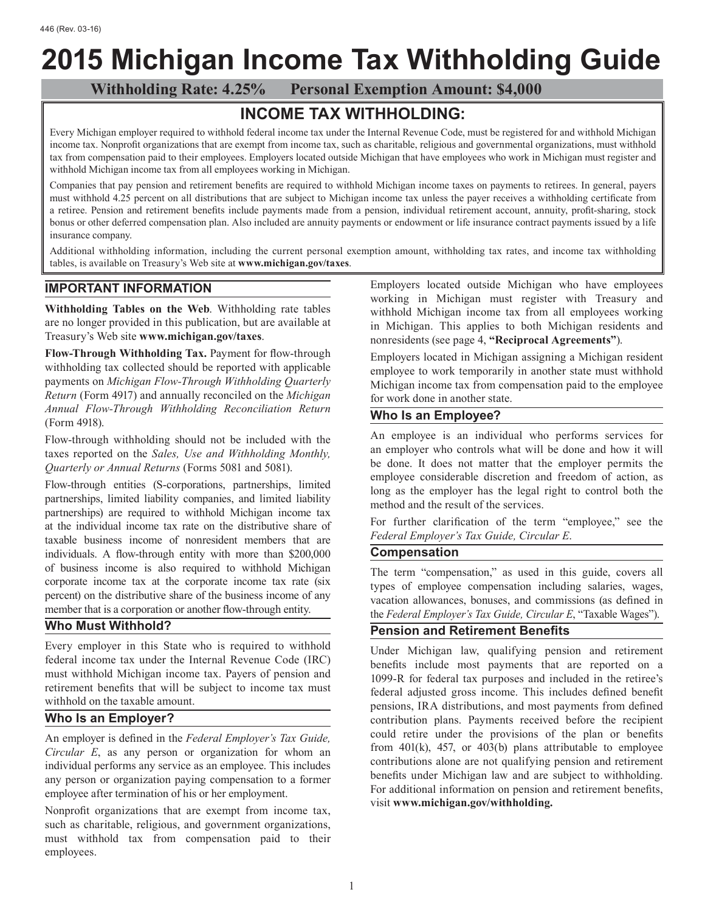# **2015 Michigan Income Tax Withholding Guide**

 **Withholding Rate: 4.25% Personal Exemption Amount: \$4,000**

# **INCOME TAX WITHHOLDING:**

Every Michigan employer required to withhold federal income tax under the Internal Revenue Code, must be registered for and withhold Michigan income tax. Nonprofit organizations that are exempt from income tax, such as charitable, religious and governmental organizations, must withhold tax from compensation paid to their employees. Employers located outside Michigan that have employees who work in Michigan must register and withhold Michigan income tax from all employees working in Michigan.

Companies that pay pension and retirement benefits are required to withhold Michigan income taxes on payments to retirees. In general, payers must withhold 4.25 percent on all distributions that are subject to Michigan income tax unless the payer receives a withholding certificate from a retiree. Pension and retirement benefits include payments made from a pension, individual retirement account, annuity, profit-sharing, stock bonus or other deferred compensation plan. Also included are annuity payments or endowment or life insurance contract payments issued by a life insurance company.

Additional withholding information, including the current personal exemption amount, withholding tax rates, and income tax withholding tables, is available on Treasury's Web site at **www.michigan.gov/taxes**.

## **Important Information**

**Withholding Tables on the Web**. Withholding rate tables are no longer provided in this publication, but are available at Treasury's Web site **www.michigan.gov/taxes**.

**Flow-Through Withholding Tax.** Payment for flow-through withholding tax collected should be reported with applicable payments on *Michigan Flow-Through Withholding Quarterly Return* (Form 4917) and annually reconciled on the *Michigan Annual Flow-Through Withholding Reconciliation Return* (Form 4918).

Flow-through withholding should not be included with the taxes reported on the *Sales, Use and Withholding Monthly, Quarterly or Annual Returns* (Forms 5081 and 5081).

Flow-through entities (S-corporations, partnerships, limited partnerships, limited liability companies, and limited liability partnerships) are required to withhold Michigan income tax at the individual income tax rate on the distributive share of taxable business income of nonresident members that are individuals. A flow-through entity with more than \$200,000 of business income is also required to withhold Michigan corporate income tax at the corporate income tax rate (six percent) on the distributive share of the business income of any member that is a corporation or another flow-through entity.

## **Who Must Withhold?**

Every employer in this State who is required to withhold federal income tax under the Internal Revenue Code (IRC) must withhold Michigan income tax. Payers of pension and retirement benefits that will be subject to income tax must withhold on the taxable amount.

## **Who Is an Employer?**

An employer is defined in the *Federal Employer's Tax Guide, Circular E*, as any person or organization for whom an individual performs any service as an employee. This includes any person or organization paying compensation to a former employee after termination of his or her employment.

Nonprofit organizations that are exempt from income tax, such as charitable, religious, and government organizations, must withhold tax from compensation paid to their employees.

Employers located outside Michigan who have employees working in Michigan must register with Treasury and withhold Michigan income tax from all employees working in Michigan. This applies to both Michigan residents and nonresidents (see page 4, **"Reciprocal Agreements"**).

Employers located in Michigan assigning a Michigan resident employee to work temporarily in another state must withhold Michigan income tax from compensation paid to the employee for work done in another state.

## **Who Is an Employee?**

An employee is an individual who performs services for an employer who controls what will be done and how it will be done. It does not matter that the employer permits the employee considerable discretion and freedom of action, as long as the employer has the legal right to control both the method and the result of the services.

For further clarification of the term "employee," see the *Federal Employer's Tax Guide, Circular E*.

## **Compensation**

The term "compensation," as used in this guide, covers all types of employee compensation including salaries, wages, vacation allowances, bonuses, and commissions (as defined in the *Federal Employer's Tax Guide, Circular E*, "Taxable Wages").

## **Pension and Retirement Benefits**

Under Michigan law, qualifying pension and retirement benefits include most payments that are reported on a 1099-R for federal tax purposes and included in the retiree's federal adjusted gross income. This includes defined benefit pensions, IRA distributions, and most payments from defined contribution plans. Payments received before the recipient could retire under the provisions of the plan or benefits from 401(k), 457, or 403(b) plans attributable to employee contributions alone are not qualifying pension and retirement benefits under Michigan law and are subject to withholding. For additional information on pension and retirement benefits, visit **www.michigan.gov/withholding.**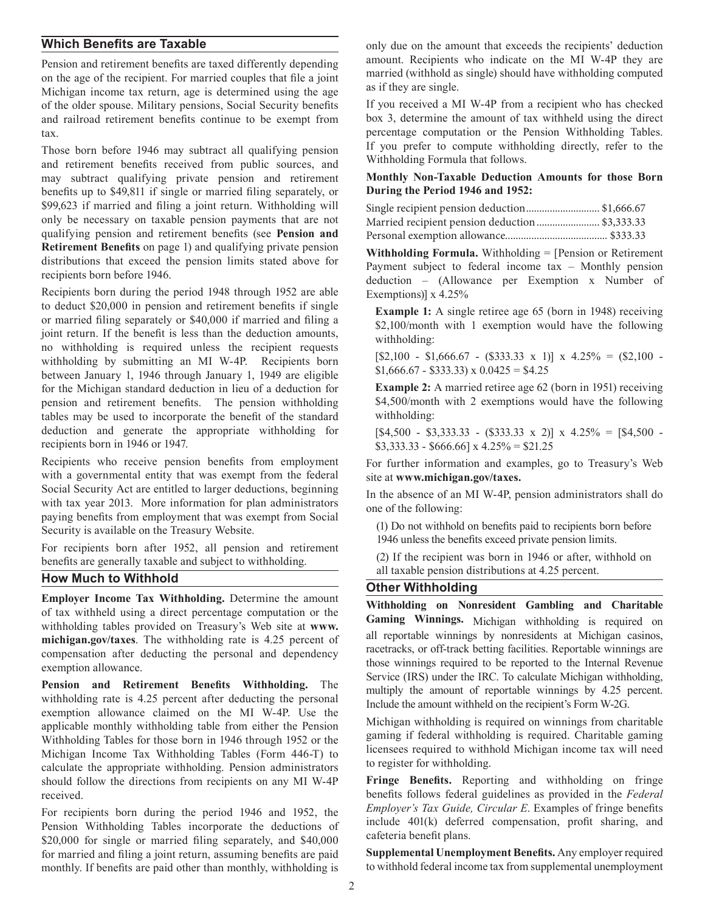#### **Which Benefits are Taxable**

Pension and retirement benefits are taxed differently depending on the age of the recipient. For married couples that file a joint Michigan income tax return, age is determined using the age of the older spouse. Military pensions, Social Security benefits and railroad retirement benefits continue to be exempt from tax.

Those born before 1946 may subtract all qualifying pension and retirement benefits received from public sources, and may subtract qualifying private pension and retirement benefits up to \$49,811 if single or married filing separately, or \$99,623 if married and filing a joint return. Withholding will only be necessary on taxable pension payments that are not qualifying pension and retirement benefits (see **Pension and Retirement Benefits** on page 1) and qualifying private pension distributions that exceed the pension limits stated above for recipients born before 1946.

Recipients born during the period 1948 through 1952 are able to deduct \$20,000 in pension and retirement benefits if single or married filing separately or \$40,000 if married and filing a joint return. If the benefit is less than the deduction amounts, no withholding is required unless the recipient requests withholding by submitting an MI W-4P. Recipients born between January 1, 1946 through January 1, 1949 are eligible for the Michigan standard deduction in lieu of a deduction for pension and retirement benefits. The pension withholding tables may be used to incorporate the benefit of the standard deduction and generate the appropriate withholding for recipients born in 1946 or 1947.

Recipients who receive pension benefits from employment with a governmental entity that was exempt from the federal Social Security Act are entitled to larger deductions, beginning with tax year 2013. More information for plan administrators paying benefits from employment that was exempt from Social Security is available on the Treasury Website.

For recipients born after 1952, all pension and retirement benefits are generally taxable and subject to withholding.

#### **How Much to Withhold**

**Employer Income Tax Withholding.** Determine the amount of tax withheld using a direct percentage computation or the withholding tables provided on Treasury's Web site at **www. michigan.gov/taxes**. The withholding rate is 4.25 percent of compensation after deducting the personal and dependency exemption allowance.

**Pension and Retirement Benefits Withholding.** The withholding rate is 4.25 percent after deducting the personal exemption allowance claimed on the MI W-4P. Use the applicable monthly withholding table from either the Pension Withholding Tables for those born in 1946 through 1952 or the Michigan Income Tax Withholding Tables (Form 446-T) to calculate the appropriate withholding. Pension administrators should follow the directions from recipients on any MI W-4P received.

For recipients born during the period 1946 and 1952, the Pension Withholding Tables incorporate the deductions of \$20,000 for single or married filing separately, and \$40,000 for married and filing a joint return, assuming benefits are paid monthly. If benefits are paid other than monthly, withholding is

only due on the amount that exceeds the recipients' deduction amount. Recipients who indicate on the MI W-4P they are married (withhold as single) should have withholding computed as if they are single.

If you received a MI W-4P from a recipient who has checked box 3, determine the amount of tax withheld using the direct percentage computation or the Pension Withholding Tables. If you prefer to compute withholding directly, refer to the Withholding Formula that follows.

#### **Monthly Non-Taxable Deduction Amounts for those Born During the Period 1946 and 1952:**

| Single recipient pension deduction \$1,666.67  |  |
|------------------------------------------------|--|
| Married recipient pension deduction \$3,333.33 |  |
|                                                |  |

**Withholding Formula.** Withholding = [Pension or Retirement Payment subject to federal income tax – Monthly pension deduction – (Allowance per Exemption x Number of Exemptions)] x 4.25%

**Example 1:** A single retiree age 65 (born in 1948) receiving \$2,100/month with 1 exemption would have the following withholding:

 $[$2,100 - $1,666.67 - ($333.33 \times 1)] \times 4.25\% = ($2,100 $1,666.67 - $333.33$  x  $0.0425 = $4.25$ 

**Example 2:** A married retiree age 62 (born in 1951) receiving \$4,500/month with 2 exemptions would have the following withholding:

 $[$4,500 - $3,333.33 - ($333.33 \times 2)] \times 4.25\% = [$4,500 $3,333.33 - $666.66] \times 4.25\% = $21.25$ 

For further information and examples, go to Treasury's Web site at **www.michigan.gov/taxes.**

In the absence of an MI W-4P, pension administrators shall do one of the following:

(1) Do not withhold on benefits paid to recipients born before 1946 unless the benefits exceed private pension limits.

(2) If the recipient was born in 1946 or after, withhold on all taxable pension distributions at 4.25 percent.

#### **Other Withholding**

**Withholding on Nonresident Gambling and Charitable Gaming Winnings.** Michigan withholding is required on all reportable winnings by nonresidents at Michigan casinos, racetracks, or off-track betting facilities. Reportable winnings are those winnings required to be reported to the Internal Revenue Service (IRS) under the IRC. To calculate Michigan withholding, multiply the amount of reportable winnings by 4.25 percent. Include the amount withheld on the recipient's Form W-2G.

Michigan withholding is required on winnings from charitable gaming if federal withholding is required. Charitable gaming licensees required to withhold Michigan income tax will need to register for withholding.

**Fringe Benefits.** Reporting and withholding on fringe benefits follows federal guidelines as provided in the *Federal Employer's Tax Guide, Circular E*. Examples of fringe benefits include 401(k) deferred compensation, profit sharing, and cafeteria benefit plans.

**Supplemental Unemployment Benefits.** Any employer required to withhold federal income tax from supplemental unemployment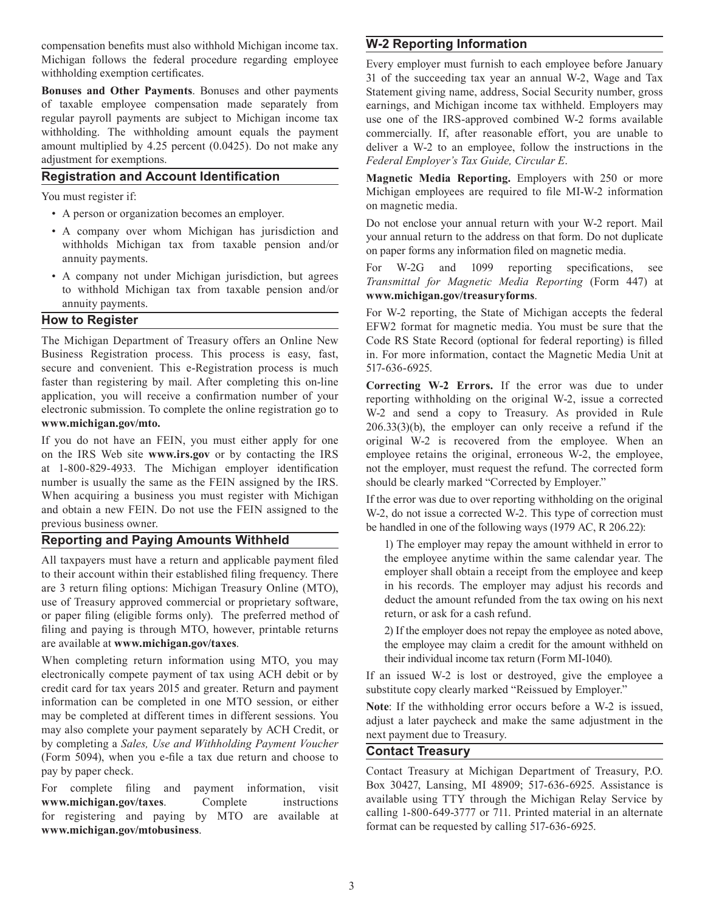compensation benefits must also withhold Michigan income tax. Michigan follows the federal procedure regarding employee withholding exemption certificates.

**Bonuses and Other Payments**. Bonuses and other payments of taxable employee compensation made separately from regular payroll payments are subject to Michigan income tax withholding. The withholding amount equals the payment amount multiplied by 4.25 percent (0.0425). Do not make any adjustment for exemptions.

#### **Registration and Account Identification**

You must register if:

- A person or organization becomes an employer.
- A company over whom Michigan has jurisdiction and withholds Michigan tax from taxable pension and/or annuity payments.
- A company not under Michigan jurisdiction, but agrees to withhold Michigan tax from taxable pension and/or annuity payments.

#### **How to Register**

The Michigan Department of Treasury offers an Online New Business Registration process. This process is easy, fast, secure and convenient. This e-Registration process is much faster than registering by mail. After completing this on-line application, you will receive a confirmation number of your electronic submission. To complete the online registration go to **www.michigan.gov/mto.**

If you do not have an FEIN, you must either apply for one on the IRS Web site **www.irs.gov** or by contacting the IRS at 1-800-829-4933. The Michigan employer identification number is usually the same as the FEIN assigned by the IRS. When acquiring a business you must register with Michigan and obtain a new FEIN. Do not use the FEIN assigned to the previous business owner.

### **Reporting and Paying Amounts Withheld**

All taxpayers must have a return and applicable payment filed to their account within their established filing frequency. There are 3 return filing options: Michigan Treasury Online (MTO), use of Treasury approved commercial or proprietary software, or paper filing (eligible forms only). The preferred method of filing and paying is through MTO, however, printable returns are available at **www.michigan.gov/taxes**.

When completing return information using MTO, you may electronically compete payment of tax using ACH debit or by credit card for tax years 2015 and greater. Return and payment information can be completed in one MTO session, or either may be completed at different times in different sessions. You may also complete your payment separately by ACH Credit, or by completing a *Sales, Use and Withholding Payment Voucher*  (Form 5094), when you e-file a tax due return and choose to pay by paper check.

For complete filing and payment information, visit **www.michigan.gov/taxes**. Complete instructions for registering and paying by MTO are available at **www.michigan.gov/mtobusiness**.

#### **W-2 Reporting Information**

Every employer must furnish to each employee before January 31 of the succeeding tax year an annual W-2, Wage and Tax Statement giving name, address, Social Security number, gross earnings, and Michigan income tax withheld. Employers may use one of the IRS-approved combined W-2 forms available commercially. If, after reasonable effort, you are unable to deliver a W-2 to an employee, follow the instructions in the *Federal Employer's Tax Guide, Circular E*.

**Magnetic Media Reporting.** Employers with 250 or more Michigan employees are required to file MI-W-2 information on magnetic media.

Do not enclose your annual return with your W-2 report. Mail your annual return to the address on that form. Do not duplicate on paper forms any information filed on magnetic media.

For W-2G and 1099 reporting specifications, see *Transmittal for Magnetic Media Reporting* (Form 447) at **www.michigan.gov/treasuryforms**.

For W-2 reporting, the State of Michigan accepts the federal EFW2 format for magnetic media. You must be sure that the Code RS State Record (optional for federal reporting) is filled in. For more information, contact the Magnetic Media Unit at 517-636-6925.

**Correcting W-2 Errors.** If the error was due to under reporting withholding on the original W-2, issue a corrected W-2 and send a copy to Treasury. As provided in Rule 206.33(3)(b), the employer can only receive a refund if the original W-2 is recovered from the employee. When an employee retains the original, erroneous W-2, the employee, not the employer, must request the refund. The corrected form should be clearly marked "Corrected by Employer."

If the error was due to over reporting withholding on the original W-2, do not issue a corrected W-2. This type of correction must be handled in one of the following ways (1979 AC, R 206.22):

1) The employer may repay the amount withheld in error to the employee anytime within the same calendar year. The employer shall obtain a receipt from the employee and keep in his records. The employer may adjust his records and deduct the amount refunded from the tax owing on his next return, or ask for a cash refund.

2) If the employer does not repay the employee as noted above, the employee may claim a credit for the amount withheld on their individual income tax return (Form MI-1040).

If an issued W-2 is lost or destroyed, give the employee a substitute copy clearly marked "Reissued by Employer."

**Note**: If the withholding error occurs before a W-2 is issued, adjust a later paycheck and make the same adjustment in the next payment due to Treasury.

#### **Contact Treasury**

Contact Treasury at Michigan Department of Treasury, P.O. Box 30427, Lansing, MI 48909; 517-636-6925. Assistance is available using TTY through the Michigan Relay Service by calling 1-800-649-3777 or 711. Printed material in an alternate format can be requested by calling 517-636-6925.